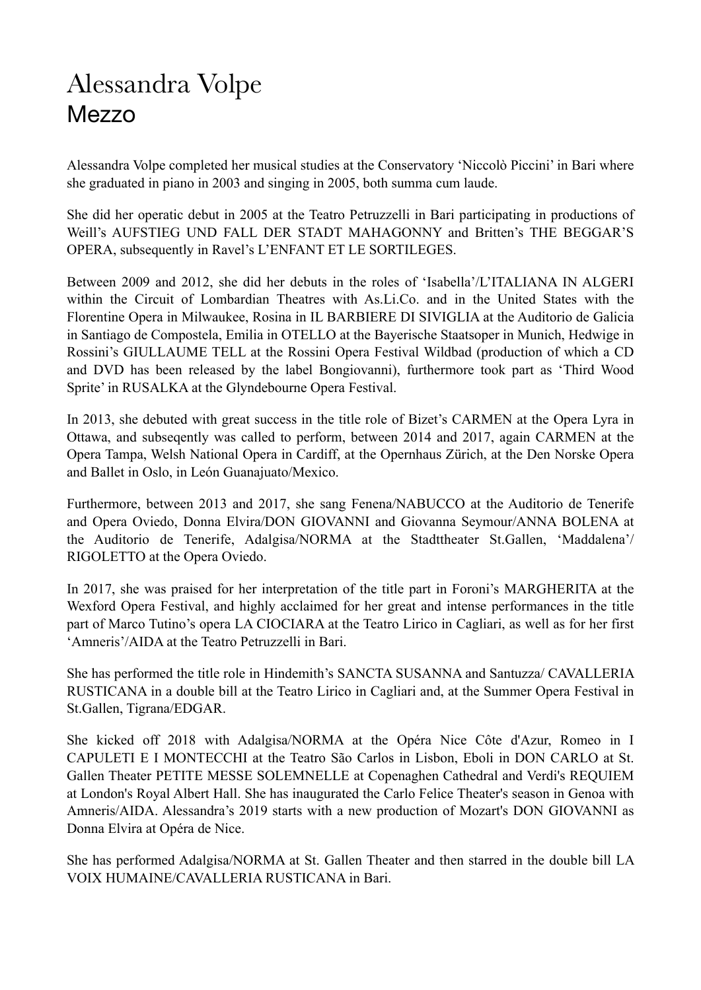## Alessandra Volpe Mezzo

Alessandra Volpe completed her musical studies at the Conservatory 'Niccolò Piccini' in Bari where she graduated in piano in 2003 and singing in 2005, both summa cum laude.

She did her operatic debut in 2005 at the Teatro Petruzzelli in Bari participating in productions of Weill's AUFSTIEG UND FALL DER STADT MAHAGONNY and Britten's THE BEGGAR'S OPERA, subsequently in Ravel's L'ENFANT ET LE SORTILEGES.

Between 2009 and 2012, she did her debuts in the roles of 'Isabella'/L'ITALIANA IN ALGERI within the Circuit of Lombardian Theatres with As.Li.Co. and in the United States with the Florentine Opera in Milwaukee, Rosina in IL BARBIERE DI SIVIGLIA at the Auditorio de Galicia in Santiago de Compostela, Emilia in OTELLO at the Bayerische Staatsoper in Munich, Hedwige in Rossini's GIULLAUME TELL at the Rossini Opera Festival Wildbad (production of which a CD and DVD has been released by the label Bongiovanni), furthermore took part as 'Third Wood Sprite' in RUSALKA at the Glyndebourne Opera Festival.

In 2013, she debuted with great success in the title role of Bizet's CARMEN at the Opera Lyra in Ottawa, and subseqently was called to perform, between 2014 and 2017, again CARMEN at the Opera Tampa, Welsh National Opera in Cardiff, at the Opernhaus Zürich, at the Den Norske Opera and Ballet in Oslo, in León Guanajuato/Mexico.

Furthermore, between 2013 and 2017, she sang Fenena/NABUCCO at the Auditorio de Tenerife and Opera Oviedo, Donna Elvira/DON GIOVANNI and Giovanna Seymour/ANNA BOLENA at the Auditorio de Tenerife, Adalgisa/NORMA at the Stadttheater St.Gallen, 'Maddalena'/ RIGOLETTO at the Opera Oviedo.

In 2017, she was praised for her interpretation of the title part in Foroni's MARGHERITA at the Wexford Opera Festival, and highly acclaimed for her great and intense performances in the title part of Marco Tutino's opera LA CIOCIARA at the Teatro Lirico in Cagliari, as well as for her first 'Amneris'/AIDA at the Teatro Petruzzelli in Bari.

She has performed the title role in Hindemith's SANCTA SUSANNA and Santuzza/ CAVALLERIA RUSTICANA in a double bill at the Teatro Lirico in Cagliari and, at the Summer Opera Festival in St.Gallen, Tigrana/EDGAR.

She kicked off 2018 with Adalgisa/NORMA at the Opéra Nice Côte d'Azur, Romeo in I CAPULETI E I MONTECCHI at the Teatro São Carlos in Lisbon, Eboli in DON CARLO at St. Gallen Theater PETITE MESSE SOLEMNELLE at Copenaghen Cathedral and Verdi's REQUIEM at London's Royal Albert Hall. She has inaugurated the Carlo Felice Theater's season in Genoa with Amneris/AIDA. Alessandra's 2019 starts with a new production of Mozart's DON GIOVANNI as Donna Elvira at Opéra de Nice.

She has performed Adalgisa/NORMA at St. Gallen Theater and then starred in the double bill LA VOIX HUMAINE/CAVALLERIA RUSTICANA in Bari.